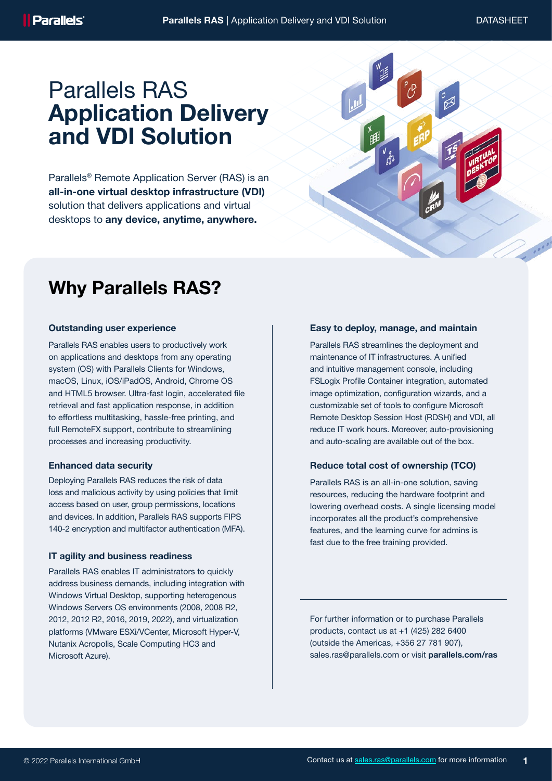# Parallels RAS Application Delivery and VDI Solution

Parallels® Remote Application Server (RAS) is an all-in-one virtual desktop infrastructure (VDI) solution that delivers applications and virtual desktops to any device, anytime, anywhere.

# Why Parallels RAS?

# Outstanding user experience

Parallels RAS enables users to productively work on applications and desktops from any operating system (OS) with Parallels Clients for Windows, macOS, Linux, iOS/iPadOS, Android, Chrome OS and HTML5 browser. Ultra-fast login, accelerated file retrieval and fast application response, in addition to effortless multitasking, hassle-free printing, and full RemoteFX support, contribute to streamlining processes and increasing productivity.

#### Enhanced data security

Deploying Parallels RAS reduces the risk of data loss and malicious activity by using policies that limit access based on user, group permissions, locations and devices. In addition, Parallels RAS supports FIPS 140-2 encryption and multifactor authentication (MFA).

#### IT agility and business readiness

Parallels RAS enables IT administrators to quickly address business demands, including integration with Windows Virtual Desktop, supporting heterogenous Windows Servers OS environments (2008, 2008 R2, 2012, 2012 R2, 2016, 2019, 2022), and virtualization platforms (VMware ESXi/VCenter, Microsoft Hyper-V, Nutanix Acropolis, Scale Computing HC3 and Microsoft Azure).

#### Easy to deploy, manage, and maintain

Parallels RAS streamlines the deployment and maintenance of IT infrastructures. A unified and intuitive management console, including FSLogix Profile Container integration, automated image optimization, configuration wizards, and a customizable set of tools to configure Microsoft Remote Desktop Session Host (RDSH) and VDI, all reduce IT work hours. Moreover, auto-provisioning and auto-scaling are available out of the box.

## Reduce total cost of ownership (TCO)

Parallels RAS is an all-in-one solution, saving resources, reducing the hardware footprint and lowering overhead costs. A single licensing model incorporates all the product's comprehensive features, and the learning curve for admins is fast due to the free training provided.

For further information or to purchase Parallels products, contact us at +1 (425) 282 6400 (outside the Americas, +356 27 781 907), sales.ras@parallels.com or visit parallels.com/ras